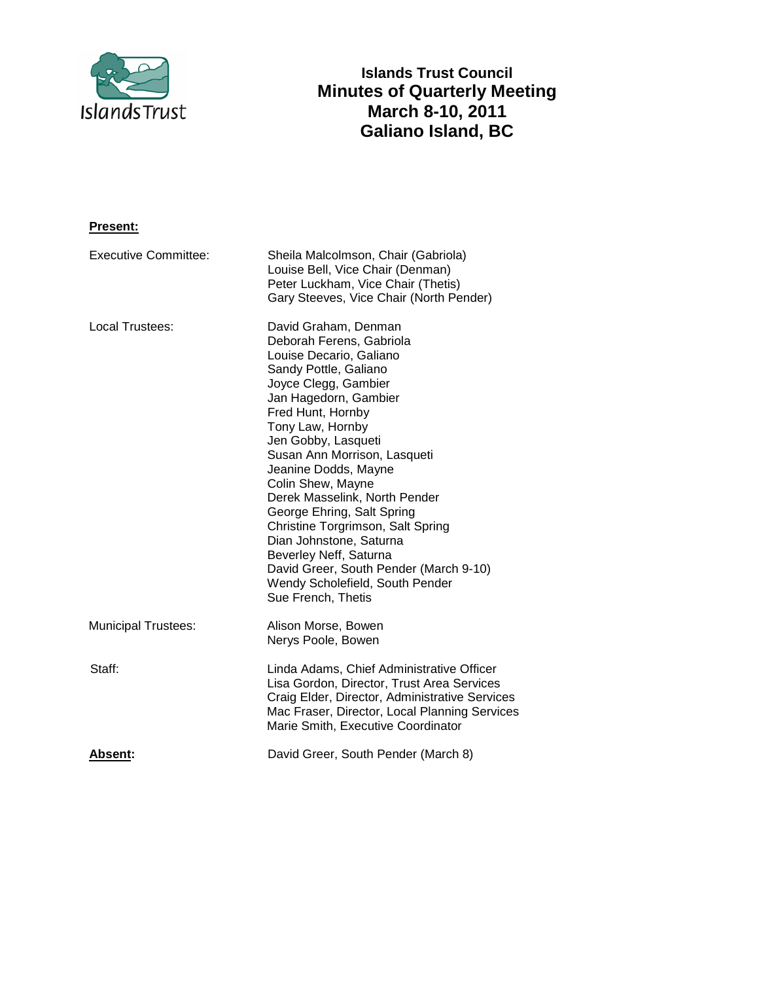

# **Islands Trust Council Minutes of Quarterly Meeting March 8-10, 2011 Galiano Island, BC**

# **Present:**

| <b>Executive Committee:</b> | Sheila Malcolmson, Chair (Gabriola)<br>Louise Bell, Vice Chair (Denman)<br>Peter Luckham, Vice Chair (Thetis)<br>Gary Steeves, Vice Chair (North Pender)                                                                                                                                                                                                                                                                                                                                                                                                       |
|-----------------------------|----------------------------------------------------------------------------------------------------------------------------------------------------------------------------------------------------------------------------------------------------------------------------------------------------------------------------------------------------------------------------------------------------------------------------------------------------------------------------------------------------------------------------------------------------------------|
| Local Trustees:             | David Graham, Denman<br>Deborah Ferens, Gabriola<br>Louise Decario, Galiano<br>Sandy Pottle, Galiano<br>Joyce Clegg, Gambier<br>Jan Hagedorn, Gambier<br>Fred Hunt, Hornby<br>Tony Law, Hornby<br>Jen Gobby, Lasqueti<br>Susan Ann Morrison, Lasqueti<br>Jeanine Dodds, Mayne<br>Colin Shew, Mayne<br>Derek Masselink, North Pender<br>George Ehring, Salt Spring<br>Christine Torgrimson, Salt Spring<br>Dian Johnstone, Saturna<br>Beverley Neff, Saturna<br>David Greer, South Pender (March 9-10)<br>Wendy Scholefield, South Pender<br>Sue French, Thetis |
| <b>Municipal Trustees:</b>  | Alison Morse, Bowen<br>Nerys Poole, Bowen                                                                                                                                                                                                                                                                                                                                                                                                                                                                                                                      |
| Staff:                      | Linda Adams, Chief Administrative Officer<br>Lisa Gordon, Director, Trust Area Services<br>Craig Elder, Director, Administrative Services<br>Mac Fraser, Director, Local Planning Services<br>Marie Smith, Executive Coordinator                                                                                                                                                                                                                                                                                                                               |
| <b>Absent:</b>              | David Greer, South Pender (March 8)                                                                                                                                                                                                                                                                                                                                                                                                                                                                                                                            |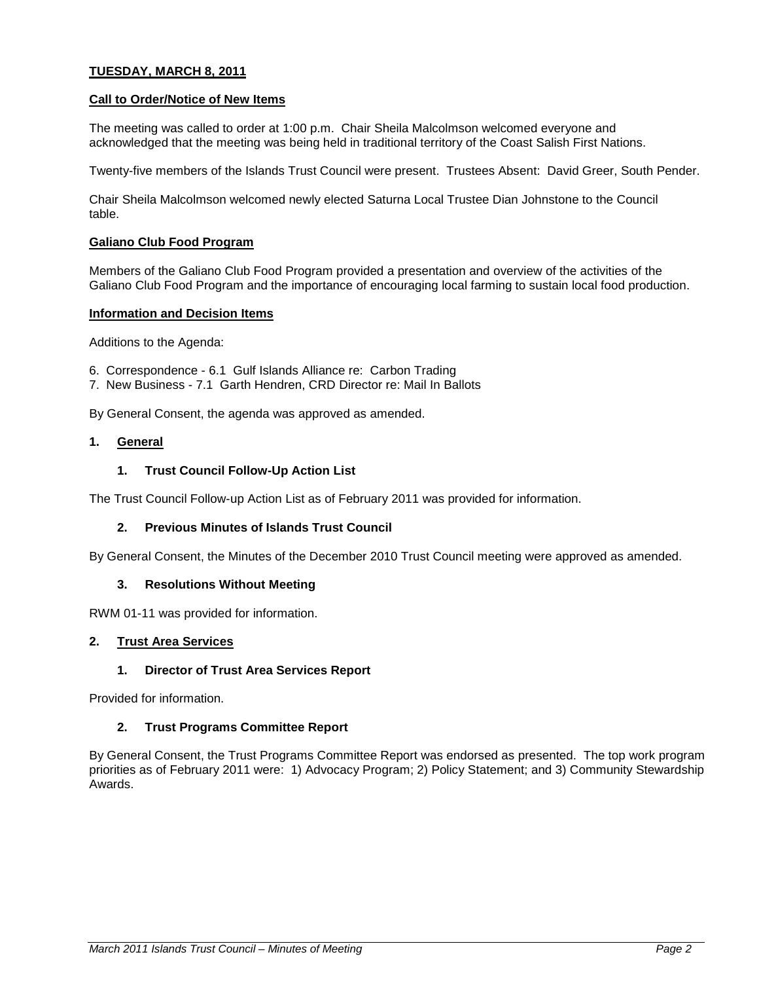# **TUESDAY, MARCH 8, 2011**

### **Call to Order/Notice of New Items**

The meeting was called to order at 1:00 p.m. Chair Sheila Malcolmson welcomed everyone and acknowledged that the meeting was being held in traditional territory of the Coast Salish First Nations.

Twenty-five members of the Islands Trust Council were present. Trustees Absent: David Greer, South Pender.

Chair Sheila Malcolmson welcomed newly elected Saturna Local Trustee Dian Johnstone to the Council table.

### **Galiano Club Food Program**

Members of the Galiano Club Food Program provided a presentation and overview of the activities of the Galiano Club Food Program and the importance of encouraging local farming to sustain local food production.

### **Information and Decision Items**

Additions to the Agenda:

- 6. Correspondence 6.1 Gulf Islands Alliance re: Carbon Trading
- 7. New Business 7.1 Garth Hendren, CRD Director re: Mail In Ballots

By General Consent, the agenda was approved as amended.

### **1. General**

# **1. Trust Council Follow-Up Action List**

The Trust Council Follow-up Action List as of February 2011 was provided for information.

### **2. Previous Minutes of Islands Trust Council**

By General Consent, the Minutes of the December 2010 Trust Council meeting were approved as amended.

# **3. Resolutions Without Meeting**

RWM 01-11 was provided for information.

### **2. Trust Area Services**

### **1. Director of Trust Area Services Report**

Provided for information.

# **2. Trust Programs Committee Report**

By General Consent, the Trust Programs Committee Report was endorsed as presented. The top work program priorities as of February 2011 were: 1) Advocacy Program; 2) Policy Statement; and 3) Community Stewardship Awards.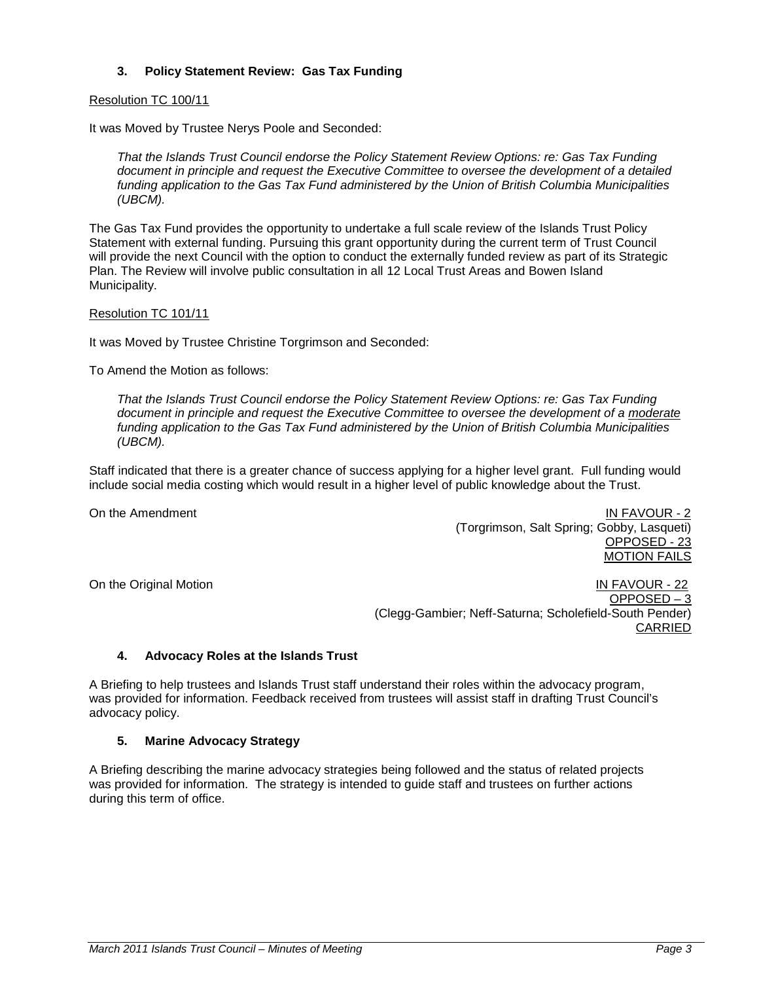# **3. Policy Statement Review: Gas Tax Funding**

### Resolution TC 100/11

It was Moved by Trustee Nerys Poole and Seconded:

*That the Islands Trust Council endorse the Policy Statement Review Options: re: Gas Tax Funding document in principle and request the Executive Committee to oversee the development of a detailed funding application to the Gas Tax Fund administered by the Union of British Columbia Municipalities (UBCM).*

The Gas Tax Fund provides the opportunity to undertake a full scale review of the Islands Trust Policy Statement with external funding. Pursuing this grant opportunity during the current term of Trust Council will provide the next Council with the option to conduct the externally funded review as part of its Strategic Plan. The Review will involve public consultation in all 12 Local Trust Areas and Bowen Island Municipality.

# Resolution TC 101/11

It was Moved by Trustee Christine Torgrimson and Seconded:

To Amend the Motion as follows:

*That the Islands Trust Council endorse the Policy Statement Review Options: re: Gas Tax Funding document in principle and request the Executive Committee to oversee the development of a moderate funding application to the Gas Tax Fund administered by the Union of British Columbia Municipalities (UBCM).*

Staff indicated that there is a greater chance of success applying for a higher level grant. Full funding would include social media costing which would result in a higher level of public knowledge about the Trust.

On the Amendment **IN FAVOUR - 2** (Torgrimson, Salt Spring; Gobby, Lasqueti) OPPOSED - 23 MOTION FAILS

On the Original Motion **IN FAVOUR** - 22 OPPOSED – 3 (Clegg-Gambier; Neff-Saturna; Scholefield-South Pender) CARRIED

### **4. Advocacy Roles at the Islands Trust**

A Briefing to help trustees and Islands Trust staff understand their roles within the advocacy program, was provided for information. Feedback received from trustees will assist staff in drafting Trust Council's advocacy policy.

### **5. Marine Advocacy Strategy**

A Briefing describing the marine advocacy strategies being followed and the status of related projects was provided for information. The strategy is intended to guide staff and trustees on further actions during this term of office.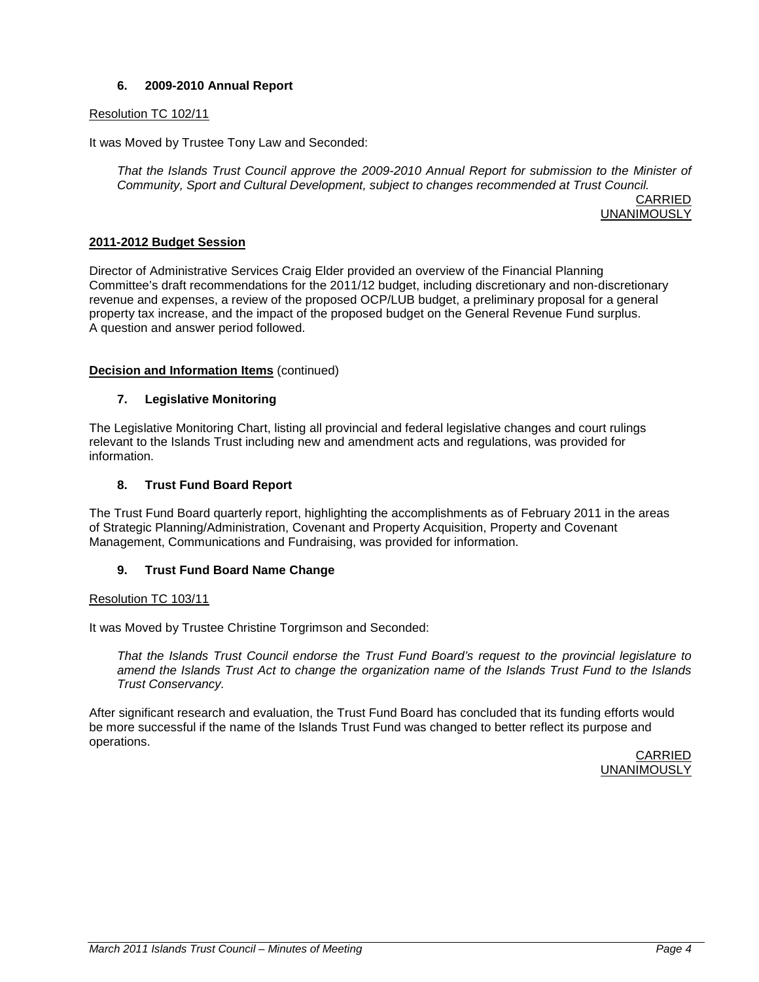# **6. 2009-2010 Annual Report**

# Resolution TC 102/11

It was Moved by Trustee Tony Law and Seconded:

*That the Islands Trust Council approve the 2009-2010 Annual Report for submission to the Minister of Community, Sport and Cultural Development, subject to changes recommended at Trust Council.*

CARRIED UNANIMOUSLY

# **2011-2012 Budget Session**

Director of Administrative Services Craig Elder provided an overview of the Financial Planning Committee's draft recommendations for the 2011/12 budget, including discretionary and non-discretionary revenue and expenses, a review of the proposed OCP/LUB budget, a preliminary proposal for a general property tax increase, and the impact of the proposed budget on the General Revenue Fund surplus. A question and answer period followed.

# **Decision and Information Items** (continued)

# **7. Legislative Monitoring**

The Legislative Monitoring Chart, listing all provincial and federal legislative changes and court rulings relevant to the Islands Trust including new and amendment acts and regulations, was provided for information.

# **8. Trust Fund Board Report**

The Trust Fund Board quarterly report, highlighting the accomplishments as of February 2011 in the areas of Strategic Planning/Administration, Covenant and Property Acquisition, Property and Covenant Management, Communications and Fundraising, was provided for information.

# **9. Trust Fund Board Name Change**

# Resolution TC 103/11

It was Moved by Trustee Christine Torgrimson and Seconded:

*That the Islands Trust Council endorse the Trust Fund Board's request to the provincial legislature to amend the Islands Trust Act to change the organization name of the Islands Trust Fund to the Islands Trust Conservancy.*

After significant research and evaluation, the Trust Fund Board has concluded that its funding efforts would be more successful if the name of the Islands Trust Fund was changed to better reflect its purpose and operations.

CARRIED UNANIMOUSLY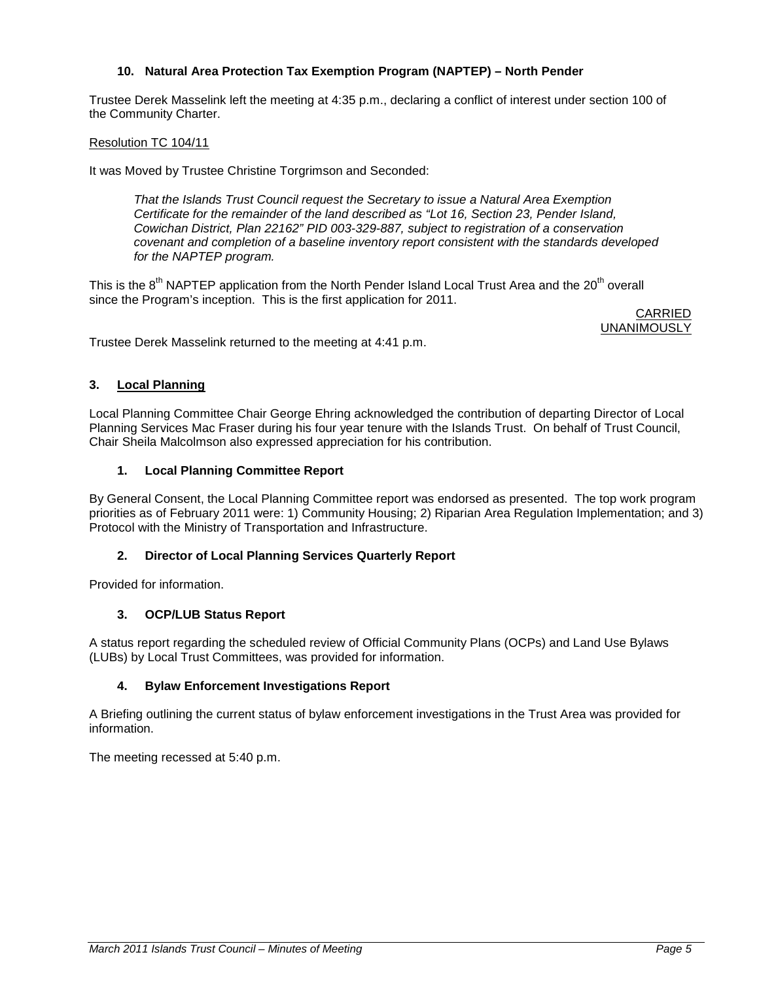# **10. Natural Area Protection Tax Exemption Program (NAPTEP) – North Pender**

Trustee Derek Masselink left the meeting at 4:35 p.m., declaring a conflict of interest under section 100 of the Community Charter.

# Resolution TC 104/11

It was Moved by Trustee Christine Torgrimson and Seconded:

*That the Islands Trust Council request the Secretary to issue a Natural Area Exemption Certificate for the remainder of the land described as "Lot 16, Section 23, Pender Island, Cowichan District, Plan 22162" PID 003-329-887, subject to registration of a conservation covenant and completion of a baseline inventory report consistent with the standards developed for the NAPTEP program.*

This is the  $8<sup>th</sup>$  NAPTEP application from the North Pender Island Local Trust Area and the 20<sup>th</sup> overall since the Program's inception. This is the first application for 2011.

CARRIED **UNANIMOUSLY** 

Trustee Derek Masselink returned to the meeting at 4:41 p.m.

# **3. Local Planning**

Local Planning Committee Chair George Ehring acknowledged the contribution of departing Director of Local Planning Services Mac Fraser during his four year tenure with the Islands Trust. On behalf of Trust Council, Chair Sheila Malcolmson also expressed appreciation for his contribution.

# **1. Local Planning Committee Report**

By General Consent, the Local Planning Committee report was endorsed as presented. The top work program priorities as of February 2011 were: 1) Community Housing; 2) Riparian Area Regulation Implementation; and 3) Protocol with the Ministry of Transportation and Infrastructure.

# **2. Director of Local Planning Services Quarterly Report**

Provided for information.

# **3. OCP/LUB Status Report**

A status report regarding the scheduled review of Official Community Plans (OCPs) and Land Use Bylaws (LUBs) by Local Trust Committees, was provided for information.

### **4. Bylaw Enforcement Investigations Report**

A Briefing outlining the current status of bylaw enforcement investigations in the Trust Area was provided for information.

The meeting recessed at 5:40 p.m.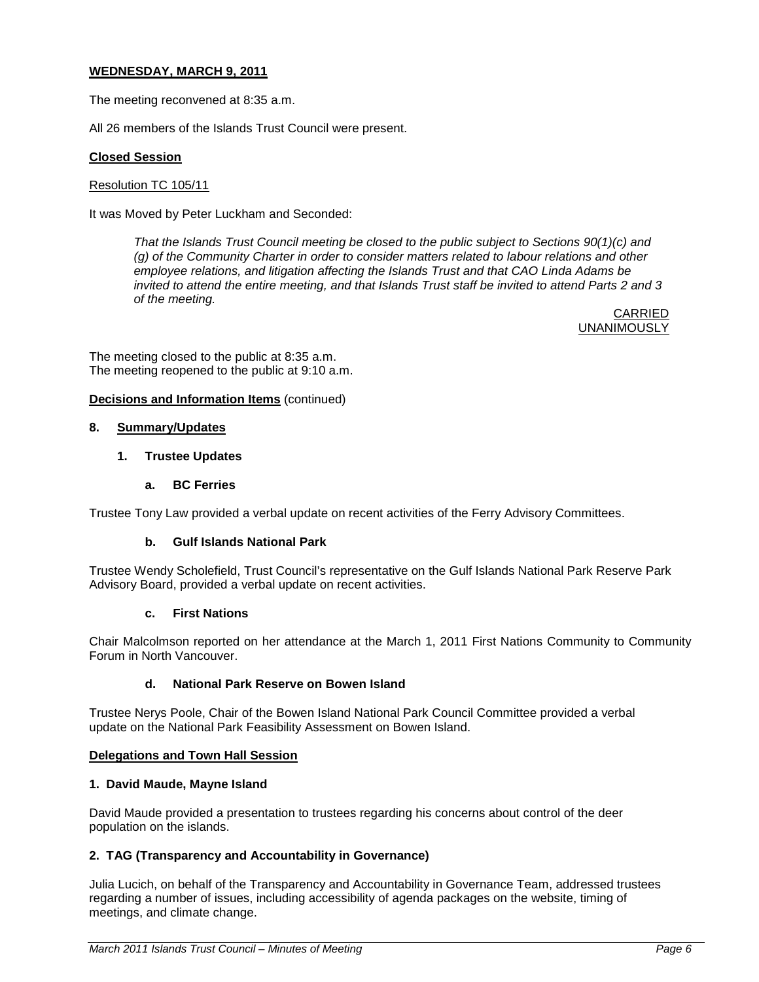# **WEDNESDAY, MARCH 9, 2011**

The meeting reconvened at 8:35 a.m.

All 26 members of the Islands Trust Council were present.

# **Closed Session**

### Resolution TC 105/11

It was Moved by Peter Luckham and Seconded:

*That the Islands Trust Council meeting be closed to the public subject to Sections 90(1)(c) and (g) of the Community Charter in order to consider matters related to labour relations and other employee relations, and litigation affecting the Islands Trust and that CAO Linda Adams be invited to attend the entire meeting, and that Islands Trust staff be invited to attend Parts 2 and 3 of the meeting.*

> CARRIED **UNANIMOUSLY**

The meeting closed to the public at 8:35 a.m. The meeting reopened to the public at 9:10 a.m.

# **Decisions and Information Items** (continued)

### **8. Summary/Updates**

# **1. Trustee Updates**

# **a. BC Ferries**

Trustee Tony Law provided a verbal update on recent activities of the Ferry Advisory Committees.

### **b. Gulf Islands National Park**

Trustee Wendy Scholefield, Trust Council's representative on the Gulf Islands National Park Reserve Park Advisory Board, provided a verbal update on recent activities.

### **c. First Nations**

Chair Malcolmson reported on her attendance at the March 1, 2011 First Nations Community to Community Forum in North Vancouver.

# **d. National Park Reserve on Bowen Island**

Trustee Nerys Poole, Chair of the Bowen Island National Park Council Committee provided a verbal update on the National Park Feasibility Assessment on Bowen Island.

### **Delegations and Town Hall Session**

### **1. David Maude, Mayne Island**

David Maude provided a presentation to trustees regarding his concerns about control of the deer population on the islands.

# **2. TAG (Transparency and Accountability in Governance)**

Julia Lucich, on behalf of the Transparency and Accountability in Governance Team, addressed trustees regarding a number of issues, including accessibility of agenda packages on the website, timing of meetings, and climate change.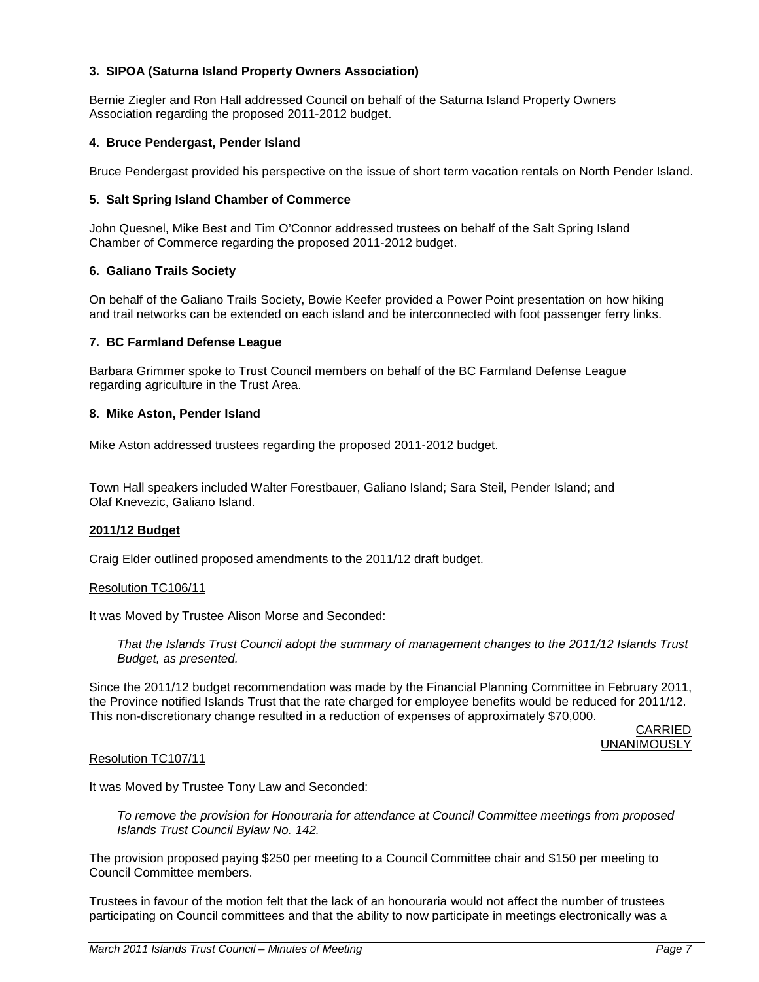# **3. SIPOA (Saturna Island Property Owners Association)**

Bernie Ziegler and Ron Hall addressed Council on behalf of the Saturna Island Property Owners Association regarding the proposed 2011-2012 budget.

### **4. Bruce Pendergast, Pender Island**

Bruce Pendergast provided his perspective on the issue of short term vacation rentals on North Pender Island.

### **5. Salt Spring Island Chamber of Commerce**

John Quesnel, Mike Best and Tim O'Connor addressed trustees on behalf of the Salt Spring Island Chamber of Commerce regarding the proposed 2011-2012 budget.

### **6. Galiano Trails Society**

On behalf of the Galiano Trails Society, Bowie Keefer provided a Power Point presentation on how hiking and trail networks can be extended on each island and be interconnected with foot passenger ferry links.

#### **7. BC Farmland Defense League**

Barbara Grimmer spoke to Trust Council members on behalf of the BC Farmland Defense League regarding agriculture in the Trust Area.

### **8. Mike Aston, Pender Island**

Mike Aston addressed trustees regarding the proposed 2011-2012 budget.

Town Hall speakers included Walter Forestbauer, Galiano Island; Sara Steil, Pender Island; and Olaf Knevezic, Galiano Island.

#### **2011/12 Budget**

Craig Elder outlined proposed amendments to the 2011/12 draft budget.

#### Resolution TC106/11

It was Moved by Trustee Alison Morse and Seconded:

*That the Islands Trust Council adopt the summary of management changes to the 2011/12 Islands Trust Budget, as presented.*

Since the 2011/12 budget recommendation was made by the Financial Planning Committee in February 2011, the Province notified Islands Trust that the rate charged for employee benefits would be reduced for 2011/12. This non-discretionary change resulted in a reduction of expenses of approximately \$70,000.

> CARRIED UNANIMOUSLY

#### Resolution TC107/11

It was Moved by Trustee Tony Law and Seconded:

*To remove the provision for Honouraria for attendance at Council Committee meetings from proposed Islands Trust Council Bylaw No. 142.*

The provision proposed paying \$250 per meeting to a Council Committee chair and \$150 per meeting to Council Committee members.

Trustees in favour of the motion felt that the lack of an honouraria would not affect the number of trustees participating on Council committees and that the ability to now participate in meetings electronically was a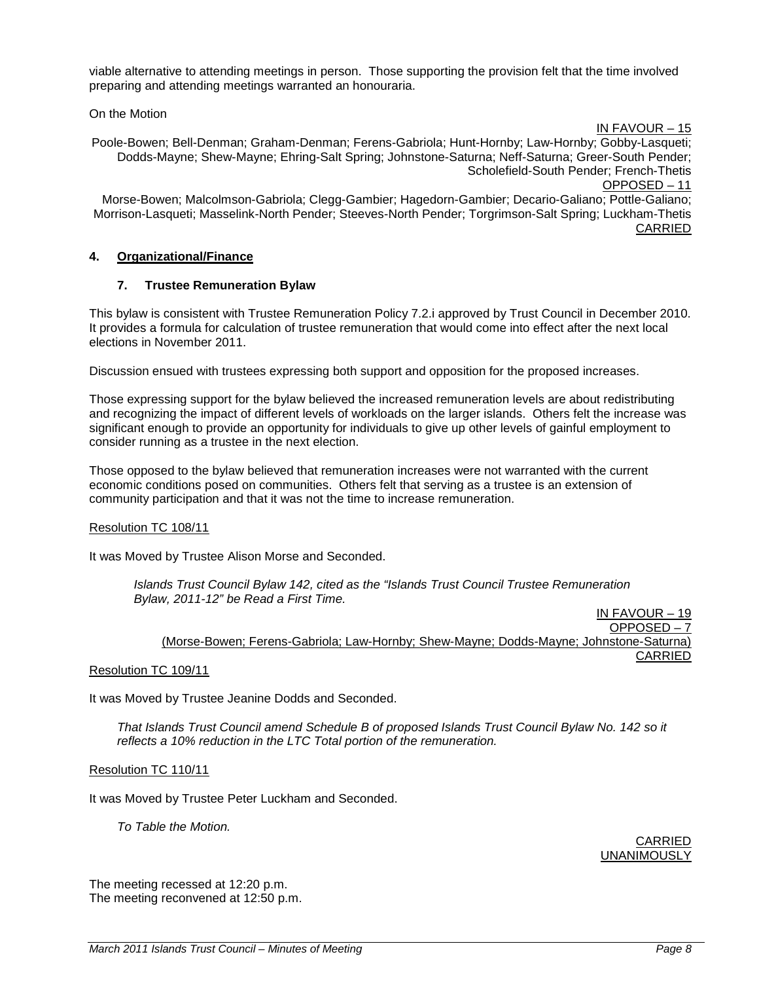viable alternative to attending meetings in person. Those supporting the provision felt that the time involved preparing and attending meetings warranted an honouraria.

On the Motion

IN FAVOUR – 15

Poole-Bowen; Bell-Denman; Graham-Denman; Ferens-Gabriola; Hunt-Hornby; Law-Hornby; Gobby-Lasqueti; Dodds-Mayne; Shew-Mayne; Ehring-Salt Spring; Johnstone-Saturna; Neff-Saturna; Greer-South Pender; Scholefield-South Pender; French-Thetis OPPOSED – 11 Morse-Bowen; Malcolmson-Gabriola; Clegg-Gambier; Hagedorn-Gambier; Decario-Galiano; Pottle-Galiano; Morrison-Lasqueti; Masselink-North Pender; Steeves-North Pender; Torgrimson-Salt Spring; Luckham-Thetis CARRIED

# **4. Organizational/Finance**

# **7. Trustee Remuneration Bylaw**

This bylaw is consistent with Trustee Remuneration Policy 7.2.i approved by Trust Council in December 2010. It provides a formula for calculation of trustee remuneration that would come into effect after the next local elections in November 2011.

Discussion ensued with trustees expressing both support and opposition for the proposed increases.

Those expressing support for the bylaw believed the increased remuneration levels are about redistributing and recognizing the impact of different levels of workloads on the larger islands. Others felt the increase was significant enough to provide an opportunity for individuals to give up other levels of gainful employment to consider running as a trustee in the next election.

Those opposed to the bylaw believed that remuneration increases were not warranted with the current economic conditions posed on communities. Others felt that serving as a trustee is an extension of community participation and that it was not the time to increase remuneration.

# Resolution TC 108/11

It was Moved by Trustee Alison Morse and Seconded.

*Islands Trust Council Bylaw 142, cited as the "Islands Trust Council Trustee Remuneration Bylaw, 2011-12" be Read a First Time.*

IN FAVOUR – 19 OPPOSED – 7 (Morse-Bowen; Ferens-Gabriola; Law-Hornby; Shew-Mayne; Dodds-Mayne; Johnstone-Saturna) CARRIED

Resolution TC 109/11

It was Moved by Trustee Jeanine Dodds and Seconded.

*That Islands Trust Council amend Schedule B of proposed Islands Trust Council Bylaw No. 142 so it reflects a 10% reduction in the LTC Total portion of the remuneration.*

Resolution TC 110/11

It was Moved by Trustee Peter Luckham and Seconded.

*To Table the Motion.*

CARRIED UNANIMOUSLY

The meeting recessed at 12:20 p.m. The meeting reconvened at 12:50 p.m.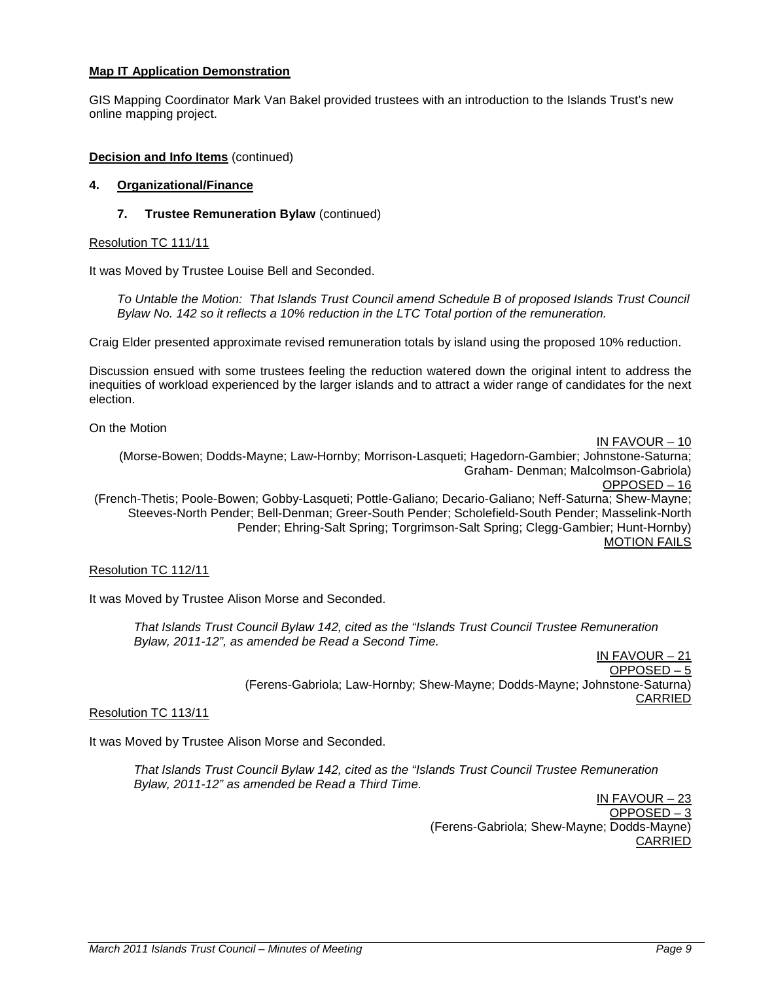# **Map IT Application Demonstration**

GIS Mapping Coordinator Mark Van Bakel provided trustees with an introduction to the Islands Trust's new online mapping project.

### **Decision and Info Items** (continued)

#### **4. Organizational/Finance**

### **7. Trustee Remuneration Bylaw** (continued)

#### Resolution TC 111/11

It was Moved by Trustee Louise Bell and Seconded.

*To Untable the Motion: That Islands Trust Council amend Schedule B of proposed Islands Trust Council Bylaw No. 142 so it reflects a 10% reduction in the LTC Total portion of the remuneration.*

Craig Elder presented approximate revised remuneration totals by island using the proposed 10% reduction.

Discussion ensued with some trustees feeling the reduction watered down the original intent to address the inequities of workload experienced by the larger islands and to attract a wider range of candidates for the next election.

On the Motion

IN FAVOUR – 10 (Morse-Bowen; Dodds-Mayne; Law-Hornby; Morrison-Lasqueti; Hagedorn-Gambier; Johnstone-Saturna; Graham- Denman; Malcolmson-Gabriola) OPPOSED – 16 (French-Thetis; Poole-Bowen; Gobby-Lasqueti; Pottle-Galiano; Decario-Galiano; Neff-Saturna; Shew-Mayne; Steeves-North Pender; Bell-Denman; Greer-South Pender; Scholefield-South Pender; Masselink-North Pender; Ehring-Salt Spring; Torgrimson-Salt Spring; Clegg-Gambier; Hunt-Hornby) MOTION FAILS

### Resolution TC 112/11

It was Moved by Trustee Alison Morse and Seconded.

*That Islands Trust Council Bylaw 142, cited as the "Islands Trust Council Trustee Remuneration Bylaw, 2011-12", as amended be Read a Second Time.*

IN FAVOUR – 21 OPPOSED – 5 (Ferens-Gabriola; Law-Hornby; Shew-Mayne; Dodds-Mayne; Johnstone-Saturna) CARRIED

### Resolution TC 113/11

It was Moved by Trustee Alison Morse and Seconded.

*That Islands Trust Council Bylaw 142, cited as the "Islands Trust Council Trustee Remuneration Bylaw, 2011-12" as amended be Read a Third Time.*

> IN FAVOUR – 23 OPPOSED – 3 (Ferens-Gabriola; Shew-Mayne; Dodds-Mayne) CARRIED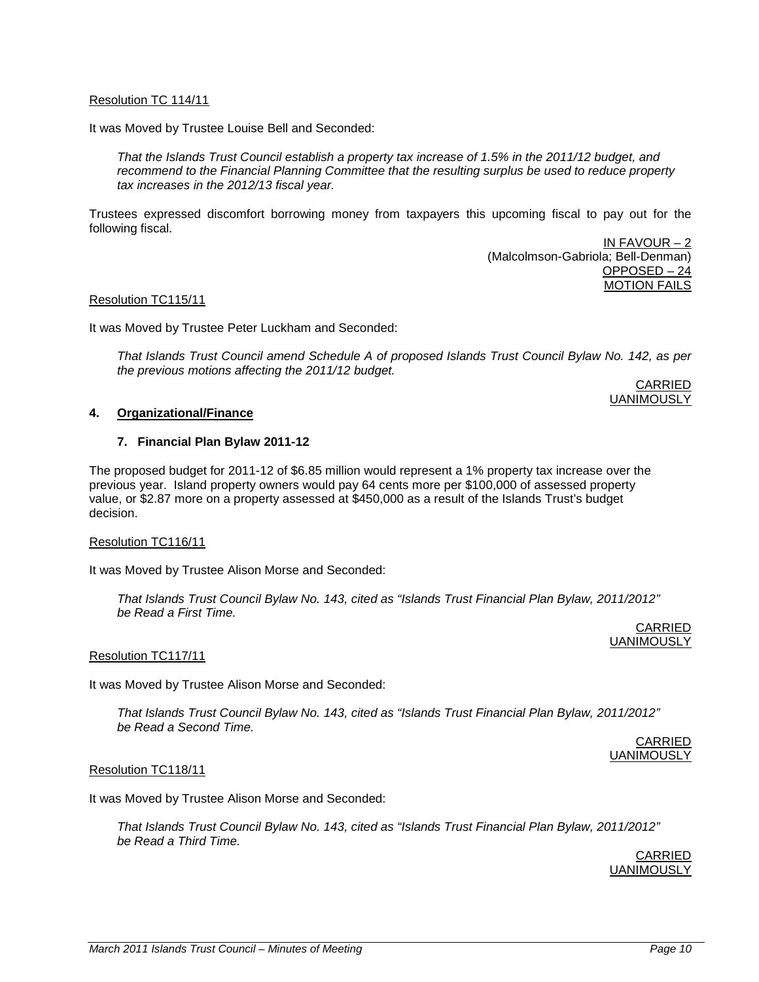### Resolution TC 114/11

It was Moved by Trustee Louise Bell and Seconded:

*That the Islands Trust Council establish a property tax increase of 1.5% in the 2011/12 budget, and recommend to the Financial Planning Committee that the resulting surplus be used to reduce property tax increases in the 2012/13 fiscal year.*

Trustees expressed discomfort borrowing money from taxpayers this upcoming fiscal to pay out for the following fiscal.

> IN FAVOUR – 2 (Malcolmson-Gabriola; Bell-Denman) OPPOSED – 24 MOTION FAILS

#### Resolution TC115/11

It was Moved by Trustee Peter Luckham and Seconded:

*That Islands Trust Council amend Schedule A of proposed Islands Trust Council Bylaw No. 142, as per the previous motions affecting the 2011/12 budget.*

CARRIED UANIMOUSLY

CARRIED UANIMOUSLY

CARRIED UANIMOUSLY

### **4. Organizational/Finance**

#### **7. Financial Plan Bylaw 2011-12**

The proposed budget for 2011-12 of \$6.85 million would represent a 1% property tax increase over the previous year. Island property owners would pay 64 cents more per \$100,000 of assessed property value, or \$2.87 more on a property assessed at \$450,000 as a result of the Islands Trust's budget decision.

# Resolution TC116/11

It was Moved by Trustee Alison Morse and Seconded:

*That Islands Trust Council Bylaw No. 143, cited as "Islands Trust Financial Plan Bylaw, 2011/2012" be Read a First Time.*

Resolution TC117/11

It was Moved by Trustee Alison Morse and Seconded:

*That Islands Trust Council Bylaw No. 143, cited as "Islands Trust Financial Plan Bylaw, 2011/2012" be Read a Second Time.*

Resolution TC118/11

It was Moved by Trustee Alison Morse and Seconded:

*That Islands Trust Council Bylaw No. 143, cited as "Islands Trust Financial Plan Bylaw, 2011/2012" be Read a Third Time.*

> CARRIED UANIMOUSLY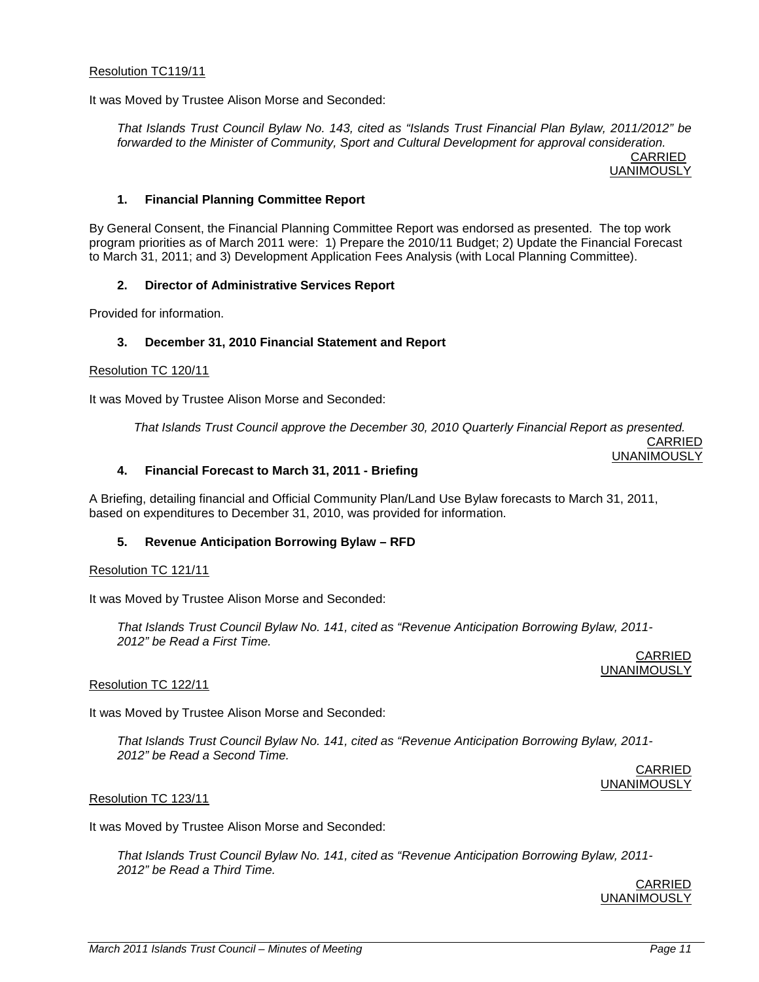### Resolution TC119/11

It was Moved by Trustee Alison Morse and Seconded:

*That Islands Trust Council Bylaw No. 143, cited as "Islands Trust Financial Plan Bylaw, 2011/2012" be forwarded to the Minister of Community, Sport and Cultural Development for approval consideration.* CARRIED

UANIMOUSLY

### **1. Financial Planning Committee Report**

By General Consent, the Financial Planning Committee Report was endorsed as presented. The top work program priorities as of March 2011 were: 1) Prepare the 2010/11 Budget; 2) Update the Financial Forecast to March 31, 2011; and 3) Development Application Fees Analysis (with Local Planning Committee).

# **2. Director of Administrative Services Report**

Provided for information.

# **3. December 31, 2010 Financial Statement and Report**

### Resolution TC 120/11

It was Moved by Trustee Alison Morse and Seconded:

*That Islands Trust Council approve the December 30, 2010 Quarterly Financial Report as presented.* CARRIED

UNANIMOUSLY

### **4. Financial Forecast to March 31, 2011 - Briefing**

A Briefing, detailing financial and Official Community Plan/Land Use Bylaw forecasts to March 31, 2011, based on expenditures to December 31, 2010, was provided for information.

### **5. Revenue Anticipation Borrowing Bylaw – RFD**

### Resolution TC 121/11

It was Moved by Trustee Alison Morse and Seconded:

*That Islands Trust Council Bylaw No. 141, cited as "Revenue Anticipation Borrowing Bylaw, 2011- 2012" be Read a First Time.*

> CARRIED **UNANIMOUSLY**

### Resolution TC 122/11

It was Moved by Trustee Alison Morse and Seconded:

*That Islands Trust Council Bylaw No. 141, cited as "Revenue Anticipation Borrowing Bylaw, 2011- 2012" be Read a Second Time.*

> CARRIED UNANIMOUSLY

### Resolution TC 123/11

It was Moved by Trustee Alison Morse and Seconded:

*That Islands Trust Council Bylaw No. 141, cited as "Revenue Anticipation Borrowing Bylaw, 2011- 2012" be Read a Third Time.*

> CARRIED UNANIMOUSLY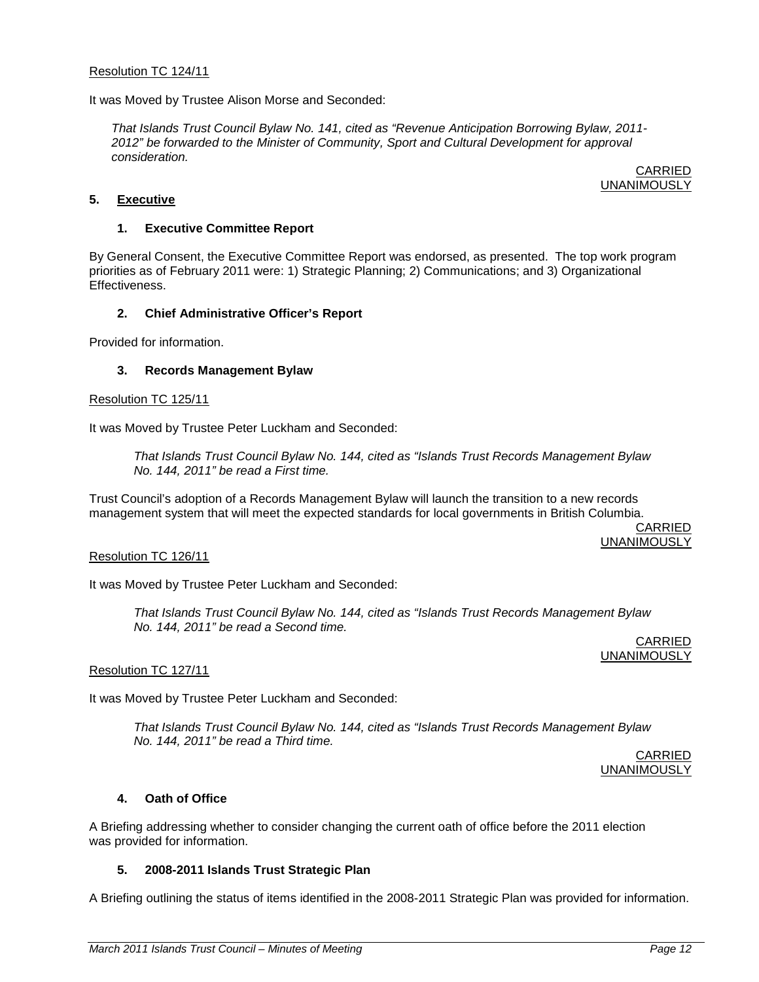### Resolution TC 124/11

It was Moved by Trustee Alison Morse and Seconded:

*That Islands Trust Council Bylaw No. 141, cited as "Revenue Anticipation Borrowing Bylaw, 2011- 2012" be forwarded to the Minister of Community, Sport and Cultural Development for approval consideration.*

CARRIED UNANIMOUSLY

### **5. Executive**

### **1. Executive Committee Report**

By General Consent, the Executive Committee Report was endorsed, as presented. The top work program priorities as of February 2011 were: 1) Strategic Planning; 2) Communications; and 3) Organizational Effectiveness.

# **2. Chief Administrative Officer's Report**

Provided for information.

### **3. Records Management Bylaw**

#### Resolution TC 125/11

It was Moved by Trustee Peter Luckham and Seconded:

*That Islands Trust Council Bylaw No. 144, cited as "Islands Trust Records Management Bylaw No. 144, 2011" be read a First time.*

Trust Council's adoption of a Records Management Bylaw will launch the transition to a new records management system that will meet the expected standards for local governments in British Columbia.

> CARRIED UNANIMOUSLY

### Resolution TC 126/11

It was Moved by Trustee Peter Luckham and Seconded:

*That Islands Trust Council Bylaw No. 144, cited as "Islands Trust Records Management Bylaw No. 144, 2011" be read a Second time.*

> CARRIED UNANIMOUSLY

### Resolution TC 127/11

It was Moved by Trustee Peter Luckham and Seconded:

*That Islands Trust Council Bylaw No. 144, cited as "Islands Trust Records Management Bylaw No. 144, 2011" be read a Third time.*

CARRIED UNANIMOUSLY

### **4. Oath of Office**

A Briefing addressing whether to consider changing the current oath of office before the 2011 election was provided for information.

### **5. 2008-2011 Islands Trust Strategic Plan**

A Briefing outlining the status of items identified in the 2008-2011 Strategic Plan was provided for information.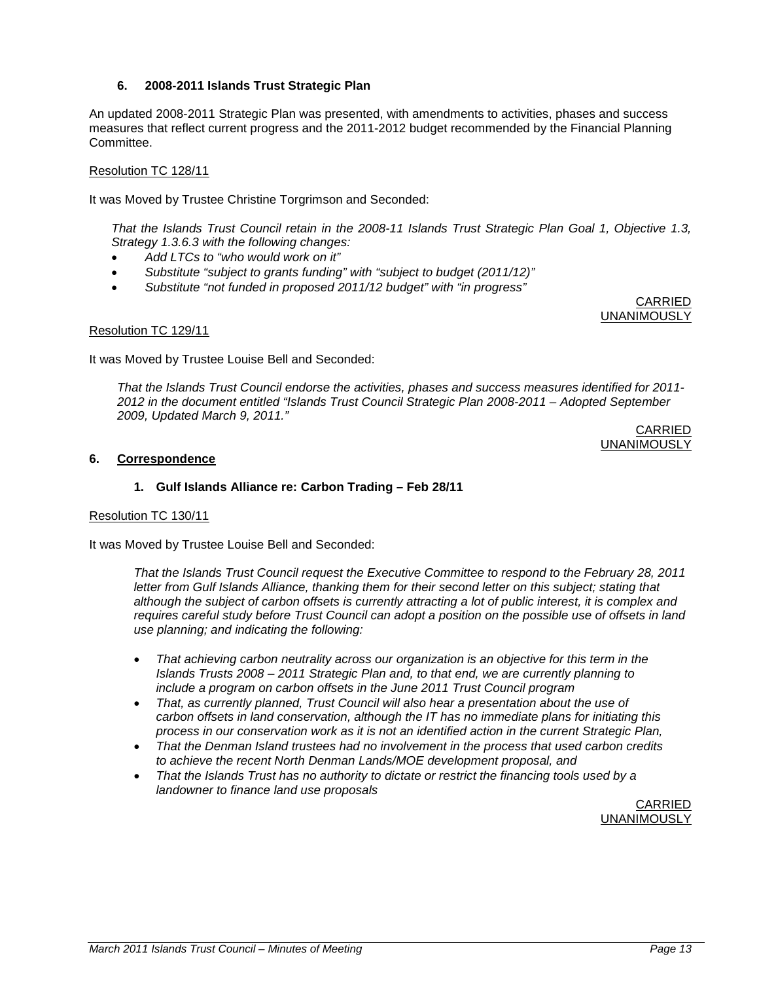# **6. 2008-2011 Islands Trust Strategic Plan**

An updated 2008-2011 Strategic Plan was presented, with amendments to activities, phases and success measures that reflect current progress and the 2011-2012 budget recommended by the Financial Planning Committee.

# Resolution TC 128/11

It was Moved by Trustee Christine Torgrimson and Seconded:

*That the Islands Trust Council retain in the 2008-11 Islands Trust Strategic Plan Goal 1, Objective 1.3, Strategy 1.3.6.3 with the following changes:*

- *Add LTCs to "who would work on it"*
- *Substitute "subject to grants funding" with "subject to budget (2011/12)"*
- *Substitute "not funded in proposed 2011/12 budget" with "in progress"*

CARRIED UNANIMOUSLY

### Resolution TC 129/11

It was Moved by Trustee Louise Bell and Seconded:

*That the Islands Trust Council endorse the activities, phases and success measures identified for 2011- 2012 in the document entitled "Islands Trust Council Strategic Plan 2008-2011 – Adopted September 2009, Updated March 9, 2011."*

CARRIED UNANIMOUSLY

# **6. Correspondence**

# **1. Gulf Islands Alliance re: Carbon Trading – Feb 28/11**

### Resolution TC 130/11

It was Moved by Trustee Louise Bell and Seconded:

*That the Islands Trust Council request the Executive Committee to respond to the February 28, 2011 letter from Gulf Islands Alliance, thanking them for their second letter on this subject; stating that although the subject of carbon offsets is currently attracting a lot of public interest, it is complex and requires careful study before Trust Council can adopt a position on the possible use of offsets in land use planning; and indicating the following:*

- *That achieving carbon neutrality across our organization is an objective for this term in the Islands Trusts 2008 – 2011 Strategic Plan and, to that end, we are currently planning to include a program on carbon offsets in the June 2011 Trust Council program*
- *That, as currently planned, Trust Council will also hear a presentation about the use of carbon offsets in land conservation, although the IT has no immediate plans for initiating this process in our conservation work as it is not an identified action in the current Strategic Plan,*
- *That the Denman Island trustees had no involvement in the process that used carbon credits to achieve the recent North Denman Lands/MOE development proposal, and*
- *That the Islands Trust has no authority to dictate or restrict the financing tools used by a landowner to finance land use proposals*

CARRIED UNANIMOUSLY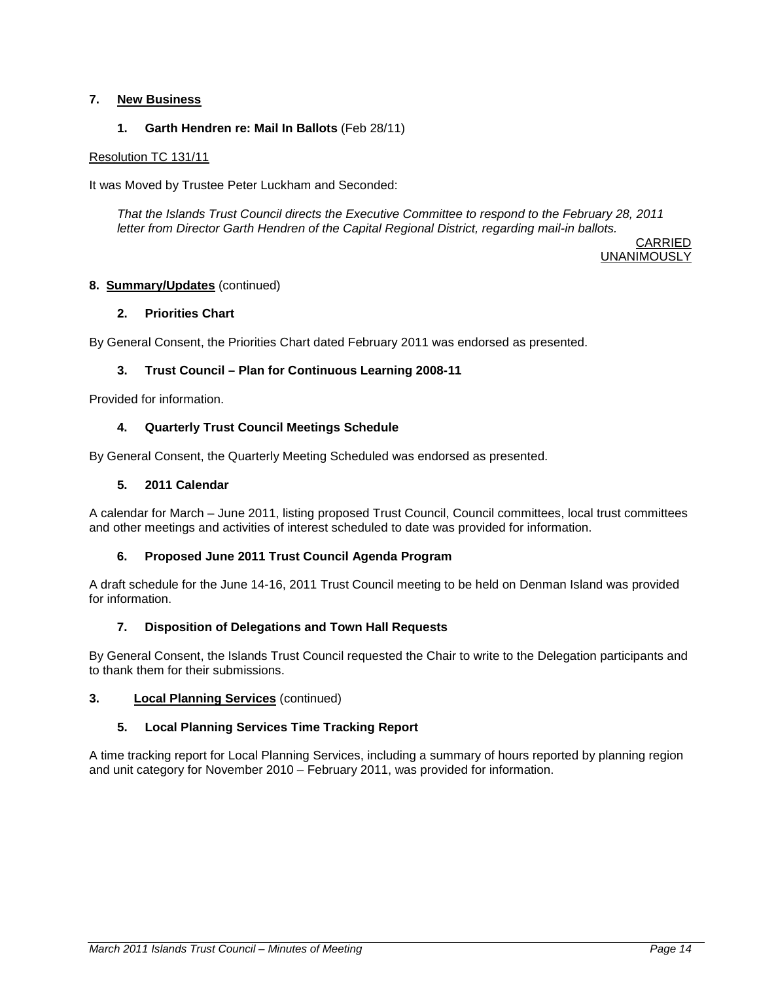# **7. New Business**

# **1. Garth Hendren re: Mail In Ballots** (Feb 28/11)

# Resolution TC 131/11

It was Moved by Trustee Peter Luckham and Seconded:

*That the Islands Trust Council directs the Executive Committee to respond to the February 28, 2011 letter from Director Garth Hendren of the Capital Regional District, regarding mail-in ballots.*

> CARRIED UNANIMOUSLY

# **8. Summary/Updates** (continued)

# **2. Priorities Chart**

By General Consent, the Priorities Chart dated February 2011 was endorsed as presented.

# **3. Trust Council – Plan for Continuous Learning 2008-11**

Provided for information.

# **4. Quarterly Trust Council Meetings Schedule**

By General Consent, the Quarterly Meeting Scheduled was endorsed as presented.

# **5. 2011 Calendar**

A calendar for March – June 2011, listing proposed Trust Council, Council committees, local trust committees and other meetings and activities of interest scheduled to date was provided for information.

# **6. Proposed June 2011 Trust Council Agenda Program**

A draft schedule for the June 14-16, 2011 Trust Council meeting to be held on Denman Island was provided for information.

# **7. Disposition of Delegations and Town Hall Requests**

By General Consent, the Islands Trust Council requested the Chair to write to the Delegation participants and to thank them for their submissions.

### **3. Local Planning Services** (continued)

# **5. Local Planning Services Time Tracking Report**

A time tracking report for Local Planning Services, including a summary of hours reported by planning region and unit category for November 2010 – February 2011, was provided for information.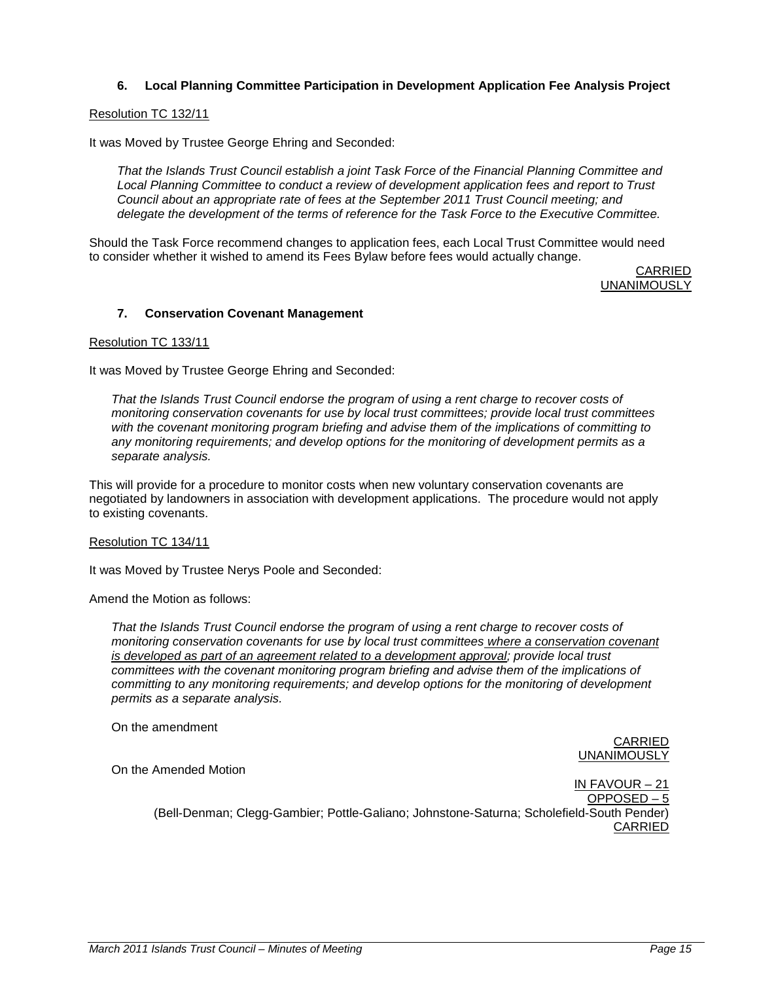# **6. Local Planning Committee Participation in Development Application Fee Analysis Project**

### Resolution TC 132/11

It was Moved by Trustee George Ehring and Seconded:

*That the Islands Trust Council establish a joint Task Force of the Financial Planning Committee and Local Planning Committee to conduct a review of development application fees and report to Trust Council about an appropriate rate of fees at the September 2011 Trust Council meeting; and delegate the development of the terms of reference for the Task Force to the Executive Committee.*

Should the Task Force recommend changes to application fees, each Local Trust Committee would need to consider whether it wished to amend its Fees Bylaw before fees would actually change.

CARRIED UNANIMOUSLY

# **7. Conservation Covenant Management**

#### Resolution TC 133/11

It was Moved by Trustee George Ehring and Seconded:

*That the Islands Trust Council endorse the program of using a rent charge to recover costs of monitoring conservation covenants for use by local trust committees; provide local trust committees with the covenant monitoring program briefing and advise them of the implications of committing to any monitoring requirements; and develop options for the monitoring of development permits as a separate analysis.*

This will provide for a procedure to monitor costs when new voluntary conservation covenants are negotiated by landowners in association with development applications. The procedure would not apply to existing covenants.

### Resolution TC 134/11

It was Moved by Trustee Nerys Poole and Seconded:

Amend the Motion as follows:

*That the Islands Trust Council endorse the program of using a rent charge to recover costs of monitoring conservation covenants for use by local trust committees where a conservation covenant is developed as part of an agreement related to a development approval; provide local trust committees with the covenant monitoring program briefing and advise them of the implications of committing to any monitoring requirements; and develop options for the monitoring of development permits as a separate analysis.*

On the amendment

CARRIED UNANIMOUSLY

On the Amended Motion

IN FAVOUR – 21 OPPOSED – 5 (Bell-Denman; Clegg-Gambier; Pottle-Galiano; Johnstone-Saturna; Scholefield-South Pender) CARRIED